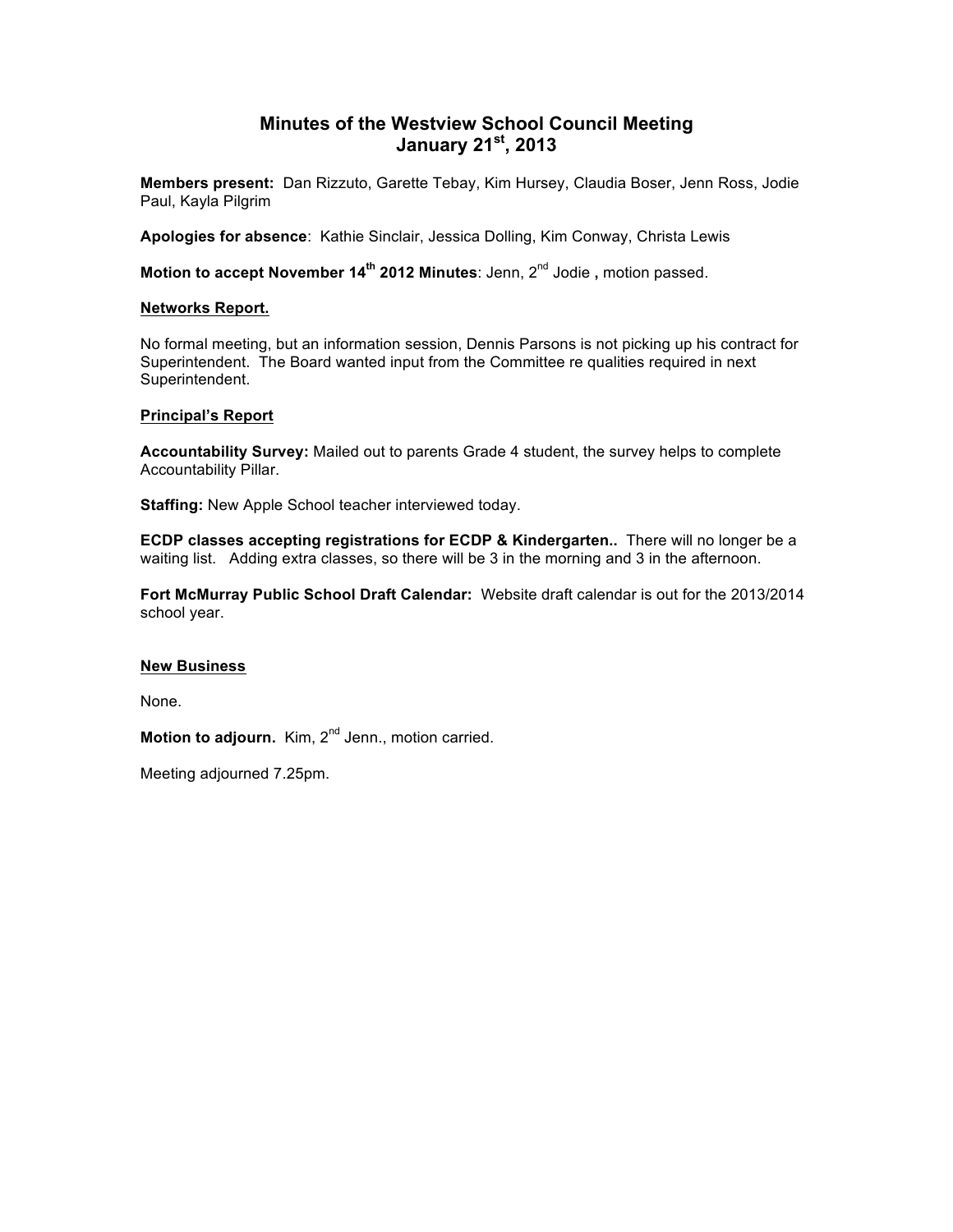# **Minutes of the Westview School Council Meeting January 21st, 2013**

**Members present:** Dan Rizzuto, Garette Tebay, Kim Hursey, Claudia Boser, Jenn Ross, Jodie Paul, Kayla Pilgrim

**Apologies for absence**: Kathie Sinclair, Jessica Dolling, Kim Conway, Christa Lewis

**Motion to accept November 14th 2012 Minutes**: Jenn, 2nd Jodie **,** motion passed.

#### **Networks Report.**

No formal meeting, but an information session, Dennis Parsons is not picking up his contract for Superintendent. The Board wanted input from the Committee re qualities required in next Superintendent.

#### **Principal's Report**

**Accountability Survey:** Mailed out to parents Grade 4 student, the survey helps to complete Accountability Pillar.

**Staffing:** New Apple School teacher interviewed today.

**ECDP classes accepting registrations for ECDP & Kindergarten..** There will no longer be a waiting list. Adding extra classes, so there will be 3 in the morning and 3 in the afternoon.

**Fort McMurray Public School Draft Calendar:** Website draft calendar is out for the 2013/2014 school year.

#### **New Business**

None.

Motion to adjourn. Kim, 2<sup>nd</sup> Jenn., motion carried.

Meeting adjourned 7.25pm.